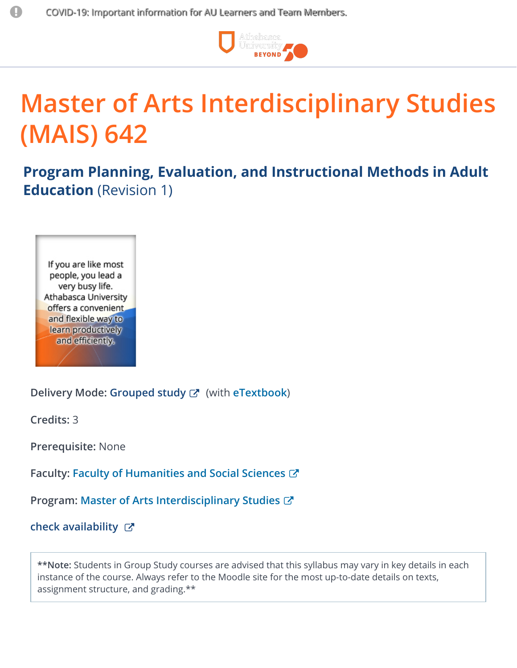

# **Master of Arts Interdisciplinary Studies (MAIS) 642**

**Program Planning, Evaluation, and Instructional Methods in Adult Education** (Revision 1)

If you are like most people, you lead a very busy life. Athabasca University offers a convenient. and flexible way to learn productively and efficiently.

**Delivery Mode: [Grouped](http://mais.athabascau.ca/courses/crsgroup.php) study** (with **[eTextbook](http://etext.athabascau.ca/)**)

**Credits:** 3

**Prerequisite:** None

**Faculty: Faculty of [Humanities](http://fhss.athabascau.ca/) and Social Sciences**

**Program: Master of Arts [Interdisciplinary](http://mais.athabascau.ca/) Studies**

**check [availability](https://tux.athabascau.ca/oros/servlet/DispatcherServlet?action=courseAvailability&subAction=selection&subject=MAIS)**

**\*\*Note:** Students in Group Study courses are advised that this syllabus may vary in key details in each instance of the course. Always refer to the Moodle site for the most up-to-date details on texts, assignment structure, and grading.\*\*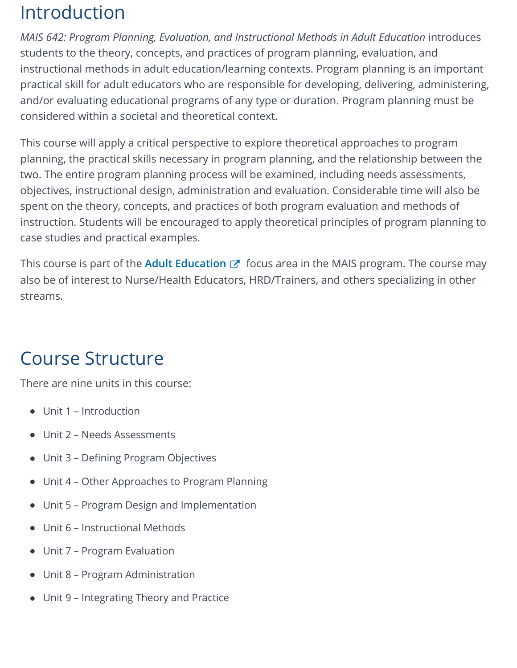### Introduction

*MAIS 642: Program Planning, Evaluation, and Instructional Methods in Adult Education* introduces students to the theory, concepts, and practices of program planning, evaluation, and instructional methods in adult education/learning contexts. Program planning is an important practical skill for adult educators who are responsible for developing, delivering, administering, and/or evaluating educational programs of any type or duration. Program planning must be considered within a societal and theoretical context.

This course will apply a critical perspective to explore theoretical approaches to program planning, the practical skills necessary in program planning, and the relationship between the two. The entire program planning process will be examined, including needs assessments, objectives, instructional design, administration and evaluation. Considerable time will also be spent on the theory, concepts, and practices of both program evaluation and methods of instruction. Students will be encouraged to apply theoretical principles of program planning to case studies and practical examples.

This course is part of the **Adult [Education](http://mais.athabascau.ca/specialization/adult_education.php)** & focus area in the MAIS program. The course may also be of interest to Nurse/Health Educators, HRD/Trainers, and others specializing in other streams.

#### Course Structure

There are nine units in this course:

- Unit 1 Introduction
- Unit 2 Needs Assessments
- Unit 3 Defining Program Objectives
- Unit 4 Other Approaches to Program Planning
- Unit 5 Program Design and Implementation
- Unit 6 Instructional Methods
- Unit 7 Program Evaluation
- Unit 8 Program Administration
- Unit 9 Integrating Theory and Practice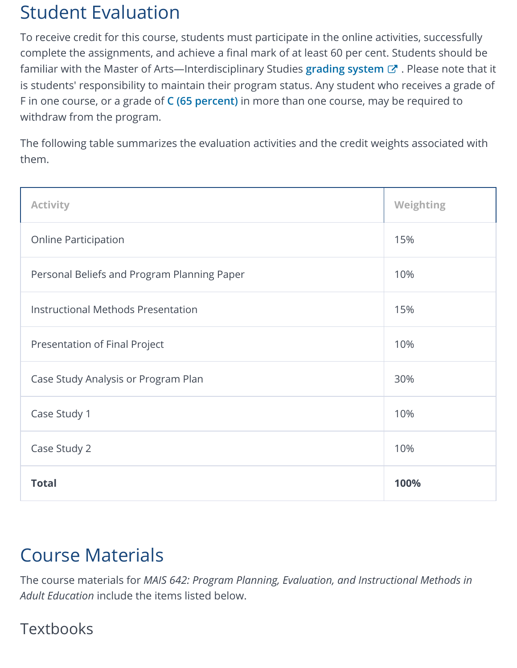## Student Evaluation

To receive credit for this course, students must participate in the online activities, successfully complete the assignments, and achieve a final mark of at least 60 per cent. Students should be familiar with the Master of Arts—Interdisciplinary Studies **[grading](http://mais.athabascau.ca/courses/crsgrade/) system** . Please note that it is students' responsibility to maintain their program status. Any student who receives a grade of F in one course, or a grade of **C (65 [percent\)](http://ous.athabascau.ca/policy/registry/undergraduategradingpolicy2002.pdf)** in more than one course, may be required to withdraw from the program.

The following table summarizes the evaluation activities and the credit weights associated with them.

| <b>Activity</b>                             | Weighting |
|---------------------------------------------|-----------|
| <b>Online Participation</b>                 | 15%       |
| Personal Beliefs and Program Planning Paper | 10%       |
| Instructional Methods Presentation          | 15%       |
| Presentation of Final Project               | 10%       |
| Case Study Analysis or Program Plan         | 30%       |
| Case Study 1                                | 10%       |
| Case Study 2                                | 10%       |
| <b>Total</b>                                | 100%      |

## Course Materials

The course materials for *MAIS 642: Program Planning, Evaluation, and Instructional Methods in Adult Education* include the items listed below.

#### **Textbooks**